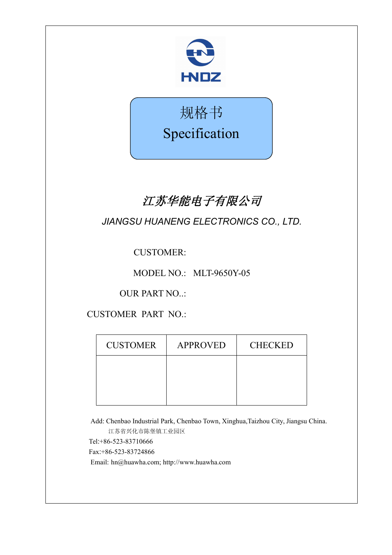



# 江苏华能电子有限公司

*JIANGSU HUANENG ELECTRONICS CO., LTD.*

CUSTOMER:

MODEL NO.: MLT-9650Y-05

OUR PART NO..:

CUSTOMER PART NO.:

Add: Chenbao Industrial Park, Chenbao Town, Xinghua,Taizhou City, Jiangsu China. 江苏省兴化市陈堡镇工业园区 Tel:+86-523-83710666 Fax:+86-523-83724866 Email: hn@huawha.com; http://www.huawha.com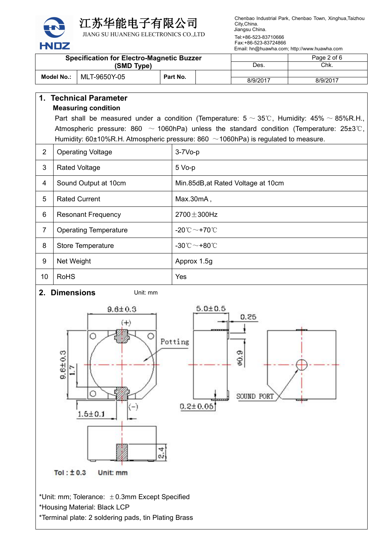

江苏华能电子有限公司

JIANG SU HUANENG ELECTRONICS CO.,LTD

Chenbao Industrial Park, Chenbao Town, Xinghua,Taizhou City,China. Jiangsu China.

Tel:+86-523-83710666 Fax:+86-523-83724866 Email: hn@huawha.com; http://www.huawha.com

| <b>Specification for Electro-Magnetic Buzzer</b><br>(SMD Type) |              |  |          | Page 2 of 6 |          |
|----------------------------------------------------------------|--------------|--|----------|-------------|----------|
|                                                                |              |  | Des.     | Chk.        |          |
| Model No.:                                                     | MLT-9650Y-05 |  | Part No. |             |          |
|                                                                |              |  |          | 8/9/2017    | 8/9/2017 |

# **1. Technical Parameter Measuring condition** Part shall be measured under a condition (Temperature:  $5 \sim 35^{\circ}$ C, Humidity:  $45\% \sim 85\%$ R.H., Atmospheric pressure: 860  $\sim$  1060hPa) unless the standard condition (Temperature: 25±3℃, Humidity: 60±10%R.H. Atmospheric pressure: 860  $\sim$  1060hPa) is regulated to measure. 2 | Operating Voltage | 3-7Vo-p 3 | Rated Voltage | 5 Vo-p 4 Sound Output at 10cm Min.85dB, at Rated Voltage at 10cm 5 Rated Current Max.30mA 6 | Resonant Frequency  $\vert$  2700 $\pm$ 300Hz 7 Operating Temperature  $\vert$  -20℃ ~+70℃ 8 Store Temperature -30℃~+80℃

9 Net Weight Approx 1.5g 10 RoHS Yes

**2. Dimensions** Unit: mm



\*Unit: mm; Tolerance:  $\pm$  0.3mm Except Specified \*Housing Material: Black LCP

\*Terminal plate: 2 soldering pads, tin Plating Brass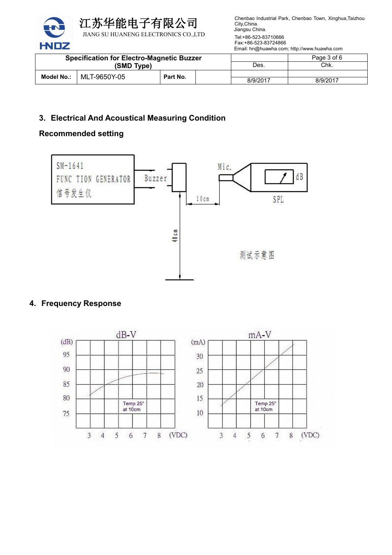

Chenbao Industrial Park, Chenbao Town, Xinghua,Taizhou City,China. Jiangsu China.

Tel:+86-523-83710666 Fax:+86-523-83724866 Email: hn@huawha.com; http://www.huawha.com

| <b>Specification for Electro-Magnetic Buzzer</b><br>(SMD Type) |  |          |      | Page 3 of 6 |          |
|----------------------------------------------------------------|--|----------|------|-------------|----------|
|                                                                |  |          | Des. | Chk.        |          |
| MLT-9650Y-05<br>Model No.:                                     |  | Part No. |      |             |          |
|                                                                |  |          |      | 8/9/2017    | 8/9/2017 |

# **3. Electrical And Acoustical Measuring Condition**

# **Recommended setting**



# **4. Frequency Response**

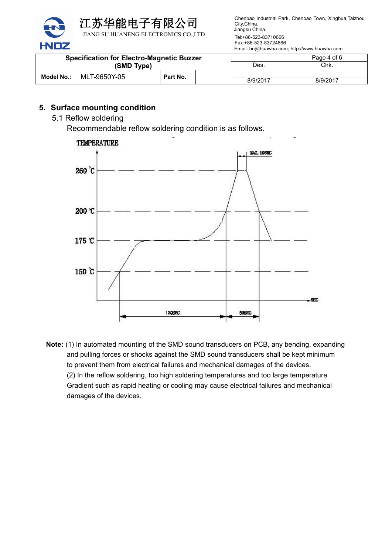

Chenbao Industrial Park, Chenbao Town, Xinghua,Taizhou City,China. Jiangsu China.

Tel:+86-523-83710666 Fax:+86-523-83724866 Email: hn@huawha.com; http://www.huawha.com

| <b>Specification for Electro-Magnetic Buzzer</b><br>(SMD Type) |              |          |      | Page 4 of 6 |          |
|----------------------------------------------------------------|--------------|----------|------|-------------|----------|
|                                                                |              |          | Des. | Chk.        |          |
| <b>Model No.:</b>                                              | MLT-9650Y-05 | Part No. |      |             |          |
|                                                                |              |          |      | 8/9/2017    | 8/9/2017 |

# **5. Surface mounting condition**

5.1 Reflow soldering

Recommendable reflow soldering condition is as follows.



**Note:** (1) In automated mounting of the SMD sound transducers on PCB, any bending, expanding and pulling forces or shocks against the SMD sound transducers shall be kept minimum to prevent them from electrical failures and mechanical damages of the devices. (2) In the reflow soldering, too high soldering temperatures and too large temperature Gradient such as rapid heating or cooling may cause electrical failures and mechanical damages of the devices.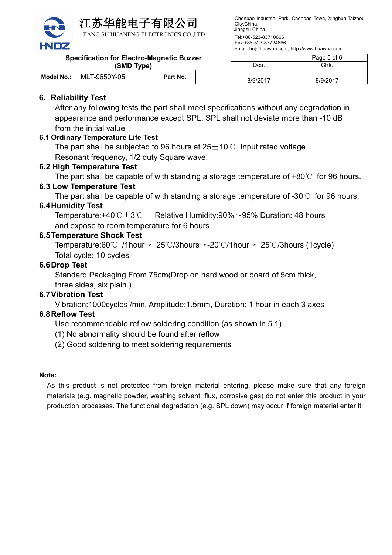

江苏华能电子有限公司

JIANG SU HUANENG ELECTRONICS CO.,LTD

Chenbao Industrial Park, Chenbao Town, Xinghua,Taizhou City,China. Jiangsu China.

Tel:+86-523-83710666 Fax:+86-523-83724866 Email: hn@huawha.com; http://www.huawha.com

| <b>Specification for Electro-Magnetic Buzzer</b><br>(SMD Type) |              |          | Des. | Page 5 of 6<br>Chk. |          |
|----------------------------------------------------------------|--------------|----------|------|---------------------|----------|
| <b>Model No.:</b>                                              | MLT-9650Y-05 | Part No. |      | 8/9/2017            | 8/9/2017 |

# **6. Reliability Test**

After any following tests the part shall meet specifications without any degradation in appearance and performance except SPL. SPL shall not deviate more than -10 dB from the initial value

## **6.1 Ordinary Temperature Life Test**

The part shall be subjected to 96 hours at  $25±10°C$ . Input rated voltage Resonant frequency, 1/2 duty Square wave.

### **6.2 High Temperature Test**

The part shall be capable of with standing a storage temperature of +80℃ for 96 hours.

#### **6.3 Low Temperature Test**

The part shall be capable of with standing a storage temperature of  $-30^{\circ}$  for 96 hours.

#### **6.4Humidity Test**

Temperature:+40℃±3℃ Relative Humidity:90%~95% Duration: 48 hours and expose to room temperature for 6 hours

#### **6.5Temperature Shock Test**

Temperature:60℃ /1hour→ 25℃/3hours→-20℃/1hour→ 25℃/3hours (1cycle) Total cycle: 10 cycles

#### **6.6Drop Test**

Standard Packaging From 75cm(Drop on hard wood or board of 5cm thick, three sides, six plain.)

#### **6.7Vibration Test**

Vibration:1000cycles /min. Amplitude:1.5mm, Duration: 1 hour in each 3 axes

# **6.8Reflow Test**

Use recommendable reflow soldering condition (as shown in 5.1)

(1) No abnormality should be found after reflow

(2) Good soldering to meet soldering requirements

#### **Note:**

As this product is not protected from foreign material entering, please make sure that any foreign materials (e.g. magnetic powder, washing solvent, flux, corrosive gas) do not enter this product in your production processes. The functional degradation (e.g. SPL down) may occur if foreign material enter it.